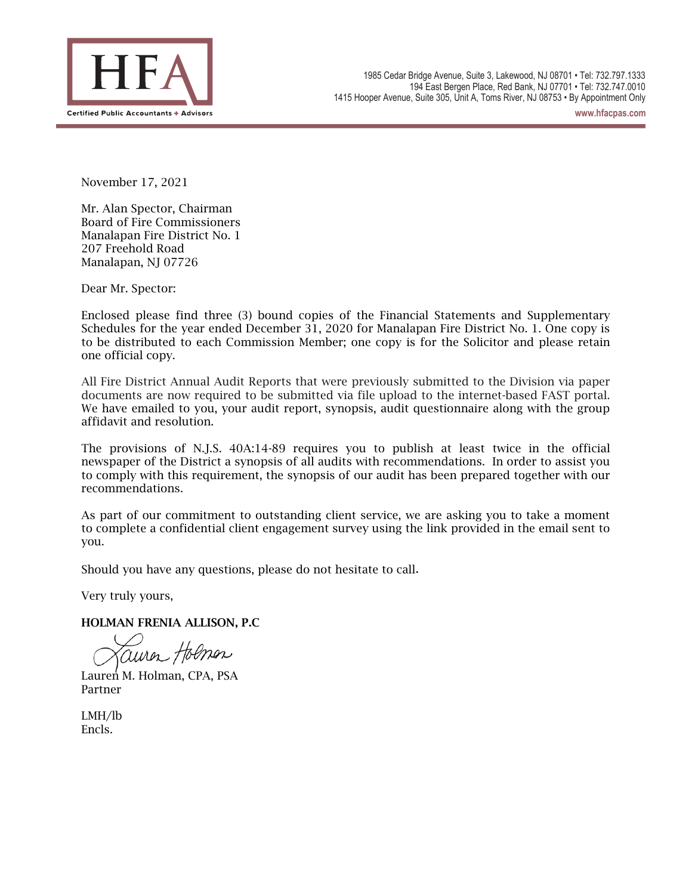

**www.hfacpas.com**

November 17, 2021

Mr. Alan Spector, Chairman Board of Fire Commissioners Manalapan Fire District No. 1 207 Freehold Road Manalapan, NJ 07726

Dear Mr. Spector:

Enclosed please find three (3) bound copies of the Financial Statements and Supplementary Schedules for the year ended December 31, 2020 for Manalapan Fire District No. 1. One copy is to be distributed to each Commission Member; one copy is for the Solicitor and please retain one official copy.

All Fire District Annual Audit Reports that were previously submitted to the Division via paper documents are now required to be submitted via file upload to the internet-based FAST portal. We have emailed to you, your audit report, synopsis, audit questionnaire along with the group affidavit and resolution.

The provisions of N.J.S. 40A:14-89 requires you to publish at least twice in the official newspaper of the District a synopsis of all audits with recommendations. In order to assist you to comply with this requirement, the synopsis of our audit has been prepared together with our recommendations.

As part of our commitment to outstanding client service, we are asking you to take a moment to complete a confidential client engagement survey using the link provided in the email sent to you.

Should you have any questions, please do not hesitate to call.

Very truly yours,

HOLMAN FRENIA ALLISON, P.C

uiren Holmen

Lauren M. Holman, CPA, PSA Partner

LMH/lb Encls.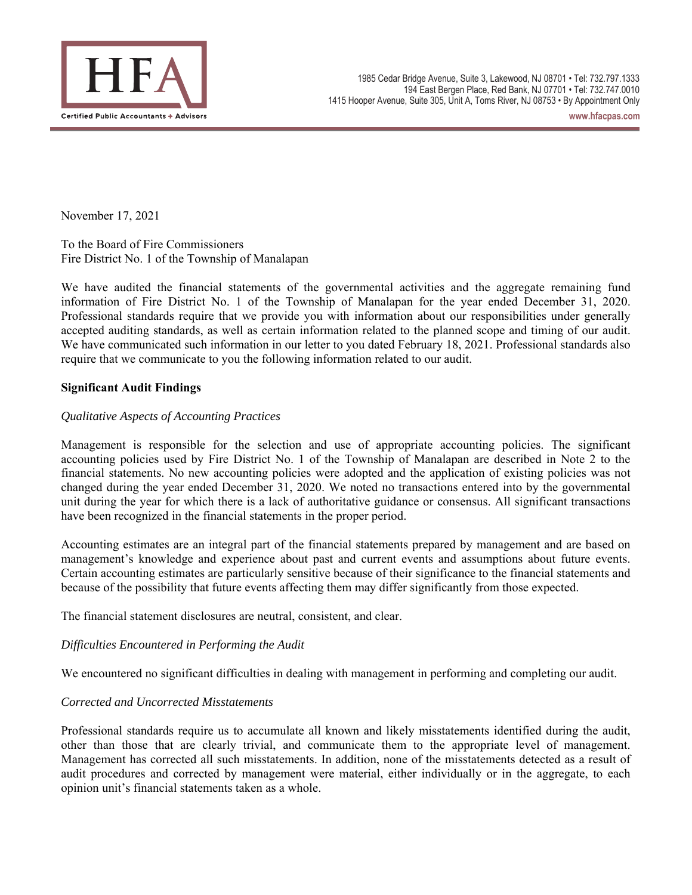

**www.hfacpas.com**

November 17, 2021

To the Board of Fire Commissioners Fire District No. 1 of the Township of Manalapan

We have audited the financial statements of the governmental activities and the aggregate remaining fund information of Fire District No. 1 of the Township of Manalapan for the year ended December 31, 2020. Professional standards require that we provide you with information about our responsibilities under generally accepted auditing standards, as well as certain information related to the planned scope and timing of our audit. We have communicated such information in our letter to you dated February 18, 2021. Professional standards also require that we communicate to you the following information related to our audit.

### **Significant Audit Findings**

### *Qualitative Aspects of Accounting Practices*

Management is responsible for the selection and use of appropriate accounting policies. The significant accounting policies used by Fire District No. 1 of the Township of Manalapan are described in Note 2 to the financial statements. No new accounting policies were adopted and the application of existing policies was not changed during the year ended December 31, 2020. We noted no transactions entered into by the governmental unit during the year for which there is a lack of authoritative guidance or consensus. All significant transactions have been recognized in the financial statements in the proper period.

Accounting estimates are an integral part of the financial statements prepared by management and are based on management's knowledge and experience about past and current events and assumptions about future events. Certain accounting estimates are particularly sensitive because of their significance to the financial statements and because of the possibility that future events affecting them may differ significantly from those expected.

The financial statement disclosures are neutral, consistent, and clear.

### *Difficulties Encountered in Performing the Audit*

We encountered no significant difficulties in dealing with management in performing and completing our audit.

### *Corrected and Uncorrected Misstatements*

Professional standards require us to accumulate all known and likely misstatements identified during the audit, other than those that are clearly trivial, and communicate them to the appropriate level of management. Management has corrected all such misstatements. In addition, none of the misstatements detected as a result of audit procedures and corrected by management were material, either individually or in the aggregate, to each opinion unit's financial statements taken as a whole.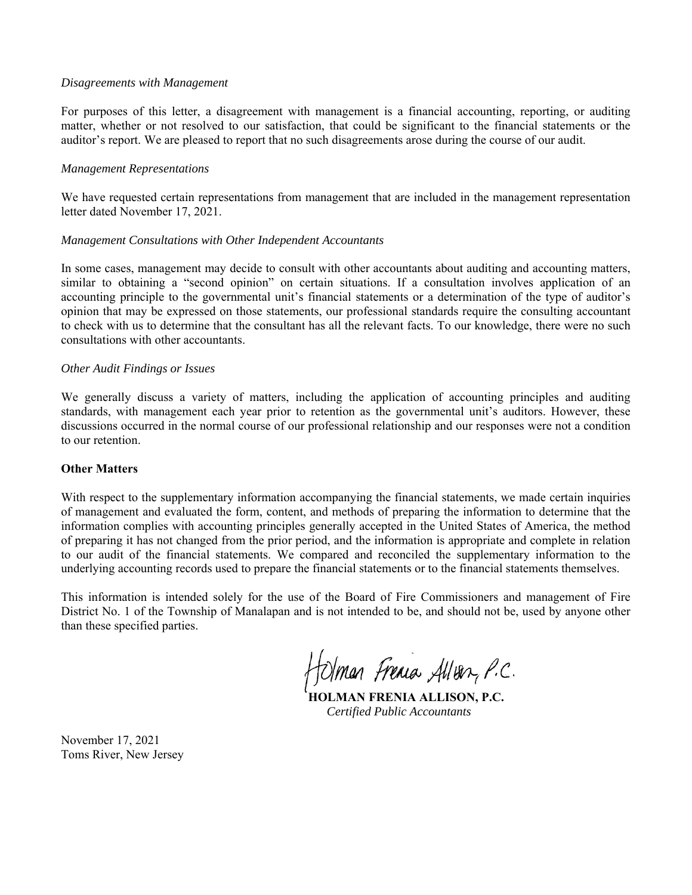#### *Disagreements with Management*

For purposes of this letter, a disagreement with management is a financial accounting, reporting, or auditing matter, whether or not resolved to our satisfaction, that could be significant to the financial statements or the auditor's report. We are pleased to report that no such disagreements arose during the course of our audit.

#### *Management Representations*

We have requested certain representations from management that are included in the management representation letter dated November 17, 2021.

#### *Management Consultations with Other Independent Accountants*

In some cases, management may decide to consult with other accountants about auditing and accounting matters, similar to obtaining a "second opinion" on certain situations. If a consultation involves application of an accounting principle to the governmental unit's financial statements or a determination of the type of auditor's opinion that may be expressed on those statements, our professional standards require the consulting accountant to check with us to determine that the consultant has all the relevant facts. To our knowledge, there were no such consultations with other accountants.

#### *Other Audit Findings or Issues*

We generally discuss a variety of matters, including the application of accounting principles and auditing standards, with management each year prior to retention as the governmental unit's auditors. However, these discussions occurred in the normal course of our professional relationship and our responses were not a condition to our retention.

### **Other Matters**

With respect to the supplementary information accompanying the financial statements, we made certain inquiries of management and evaluated the form, content, and methods of preparing the information to determine that the information complies with accounting principles generally accepted in the United States of America, the method of preparing it has not changed from the prior period, and the information is appropriate and complete in relation to our audit of the financial statements. We compared and reconciled the supplementary information to the underlying accounting records used to prepare the financial statements or to the financial statements themselves.

This information is intended solely for the use of the Board of Fire Commissioners and management of Fire District No. 1 of the Township of Manalapan and is not intended to be, and should not be, used by anyone other than these specified parties.

Holman Frenia Allver, P.C.

**HOLMAN FRENIA ALLISON, P.C.**  *Certified Public Accountants* 

November 17, 2021 Toms River, New Jersey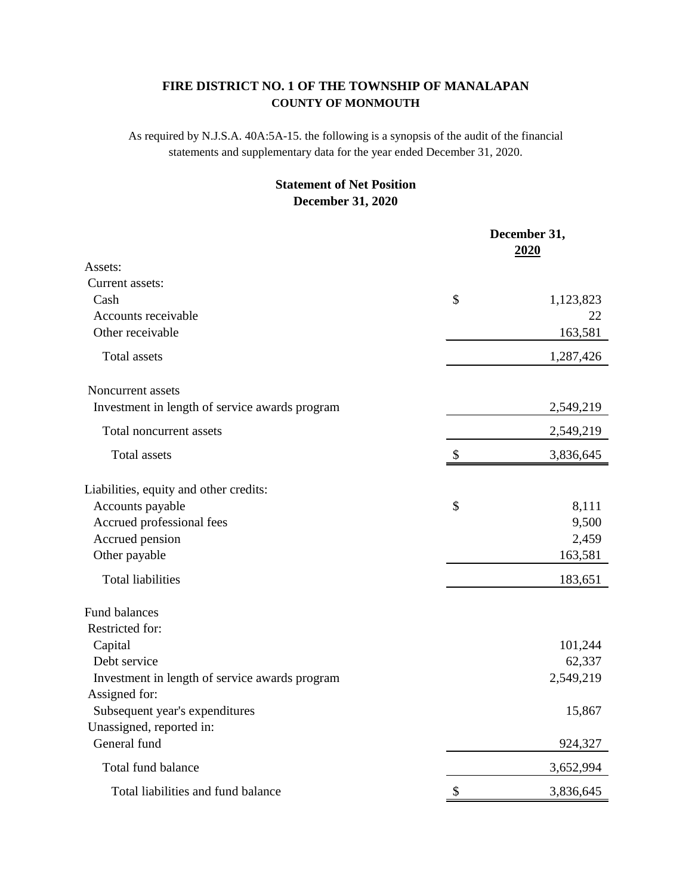# **COUNTY OF MONMOUTH FIRE DISTRICT NO. 1 OF THE TOWNSHIP OF MANALAPAN**

As required by N.J.S.A. 40A:5A-15. the following is a synopsis of the audit of the financial statements and supplementary data for the year ended December 31, 2020.

# **December 31, 2020 Statement of Net Position**

|                                                | December 31,<br><u>2020</u> |
|------------------------------------------------|-----------------------------|
| Assets:                                        |                             |
| Current assets:                                |                             |
| Cash                                           | \$<br>1,123,823             |
| Accounts receivable                            | 22                          |
| Other receivable                               | 163,581                     |
| <b>Total assets</b>                            | 1,287,426                   |
| Noncurrent assets                              |                             |
| Investment in length of service awards program | 2,549,219                   |
| Total noncurrent assets                        | 2,549,219                   |
| Total assets                                   | \$<br>3,836,645             |
| Liabilities, equity and other credits:         |                             |
| Accounts payable                               | \$<br>8,111                 |
| Accrued professional fees                      | 9,500                       |
| Accrued pension                                | 2,459                       |
| Other payable                                  | 163,581                     |
| <b>Total liabilities</b>                       | 183,651                     |
| <b>Fund balances</b>                           |                             |
| Restricted for:                                |                             |
| Capital                                        | 101,244                     |
| Debt service                                   | 62,337                      |
| Investment in length of service awards program | 2,549,219                   |
| Assigned for:                                  |                             |
| Subsequent year's expenditures                 | 15,867                      |
| Unassigned, reported in:                       |                             |
| General fund                                   | 924,327                     |
| Total fund balance                             | 3,652,994                   |
| Total liabilities and fund balance             | \$<br>3,836,645             |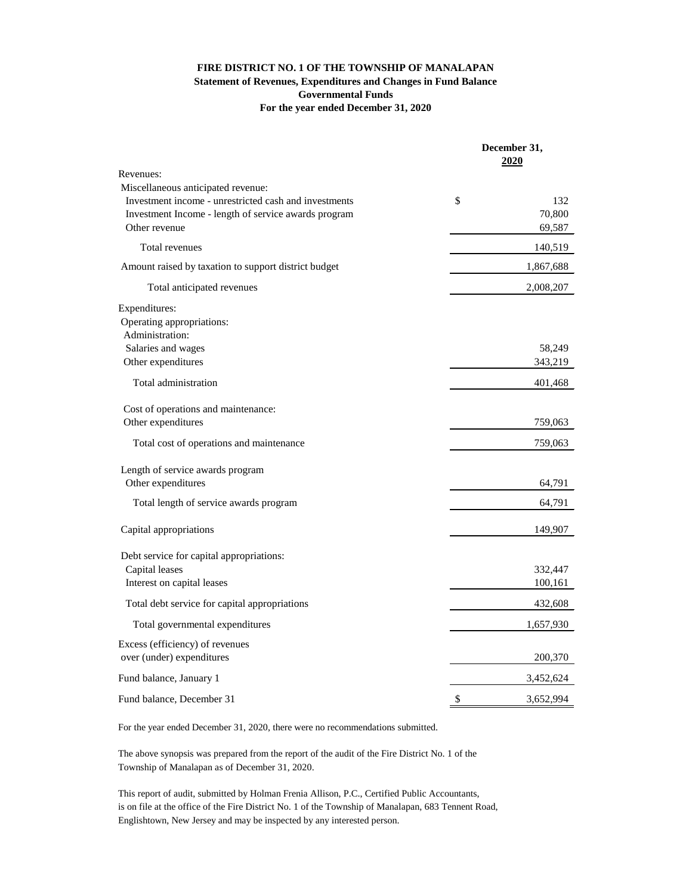# **FIRE DISTRICT NO. 1 OF THE TOWNSHIP OF MANALAPAN Statement of Revenues, Expenditures and Changes in Fund Balance Governmental Funds For the year ended December 31, 2020**

|                                                                                             | December 31,<br><u>2020</u> |
|---------------------------------------------------------------------------------------------|-----------------------------|
| Revenues:                                                                                   |                             |
| Miscellaneous anticipated revenue:<br>Investment income - unrestricted cash and investments | \$<br>132                   |
| Investment Income - length of service awards program                                        | 70,800                      |
| Other revenue                                                                               | 69,587                      |
| Total revenues                                                                              | 140,519                     |
| Amount raised by taxation to support district budget                                        | 1,867,688                   |
| Total anticipated revenues                                                                  | 2,008,207                   |
| Expenditures:                                                                               |                             |
| Operating appropriations:                                                                   |                             |
| Administration:                                                                             |                             |
| Salaries and wages                                                                          | 58,249                      |
| Other expenditures                                                                          | 343,219                     |
| Total administration                                                                        | 401,468                     |
| Cost of operations and maintenance:                                                         |                             |
| Other expenditures                                                                          | 759,063                     |
| Total cost of operations and maintenance                                                    | 759,063                     |
| Length of service awards program                                                            |                             |
| Other expenditures                                                                          | 64,791                      |
| Total length of service awards program                                                      | 64,791                      |
| Capital appropriations                                                                      | 149,907                     |
|                                                                                             |                             |
| Debt service for capital appropriations:                                                    |                             |
| Capital leases<br>Interest on capital leases                                                | 332,447<br>100,161          |
|                                                                                             |                             |
| Total debt service for capital appropriations                                               | 432,608                     |
| Total governmental expenditures                                                             | 1,657,930                   |
| Excess (efficiency) of revenues                                                             |                             |
| over (under) expenditures                                                                   | 200,370                     |
| Fund balance, January 1                                                                     | 3,452,624                   |
| Fund balance, December 31                                                                   | \$<br>3,652,994             |

For the year ended December 31, 2020, there were no recommendations submitted.

The above synopsis was prepared from the report of the audit of the Fire District No. 1 of the Township of Manalapan as of December 31, 2020.

This report of audit, submitted by Holman Frenia Allison, P.C., Certified Public Accountants, is on file at the office of the Fire District No. 1 of the Township of Manalapan, 683 Tennent Road, Englishtown, New Jersey and may be inspected by any interested person.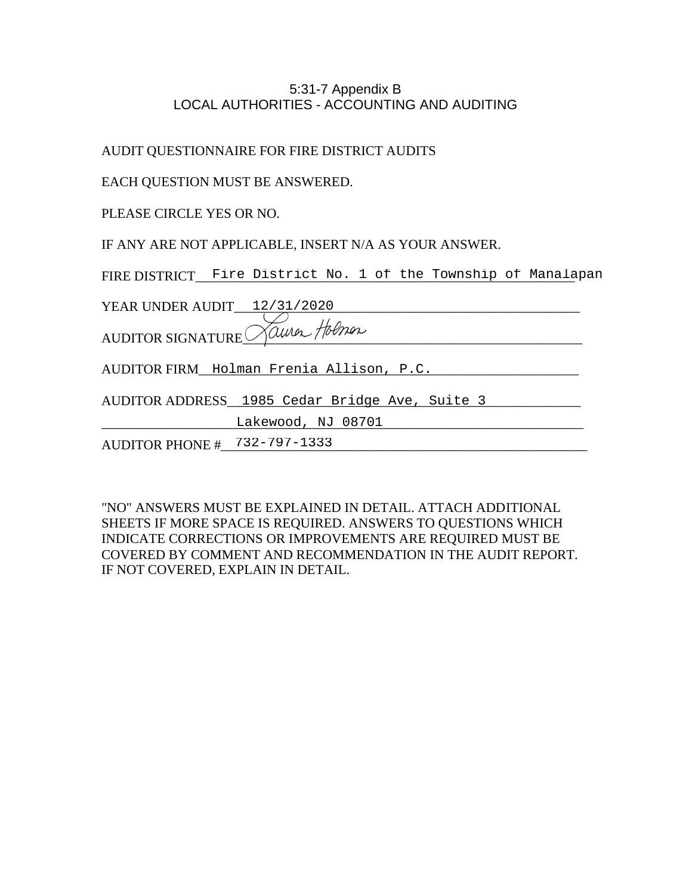## 5:31-7 Appendix B LOCAL AUTHORITIES - ACCOUNTING AND AUDITING

AUDIT QUESTIONNAIRE FOR FIRE DISTRICT AUDITS

"NO" ANSWERS MUST BE EXPLAINED IN DETAIL. ATTACH ADDITIONAL SHEETS IF MORE SPACE IS REQUIRED. ANSWERS TO QUESTIONS WHICH INDICATE CORRECTIONS OR IMPROVEMENTS ARE REQUIRED MUST BE COVERED BY COMMENT AND RECOMMENDATION IN THE AUDIT REPORT. IF NOT COVERED, EXPLAIN IN DETAIL.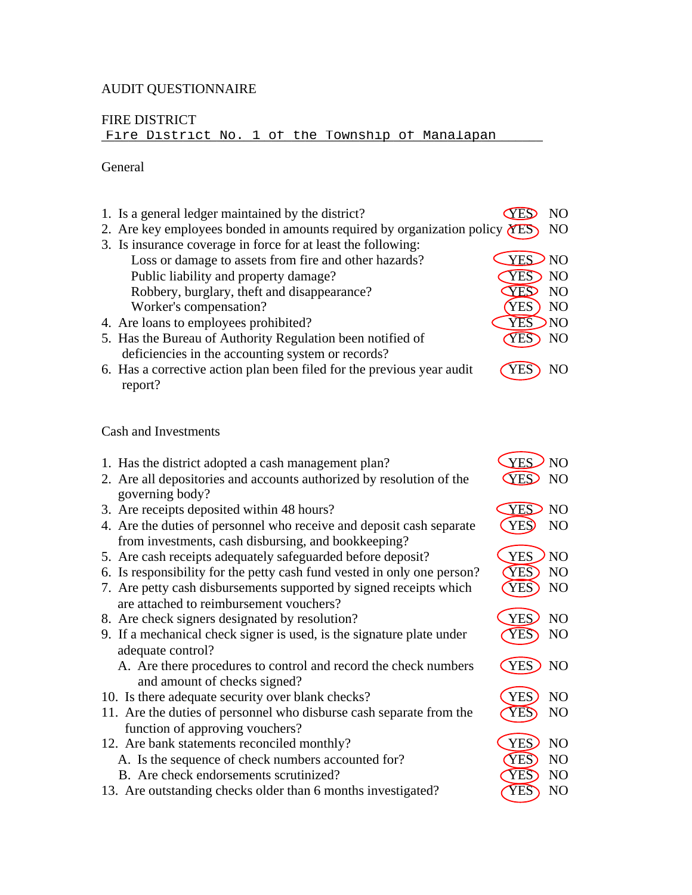# AUDIT QUESTIONNAIRE

# FIRE DISTRICT

Fire District No. 1 of the Township of Manalapan

### General

| 1. Is a general ledger maintained by the district?<br>2. Are key employees bonded in amounts required by organization policy $(YES)$<br>3. Is insurance coverage in force for at least the following:<br>Loss or damage to assets from fire and other hazards? | <b>CYES</b><br>YES NO           | N <sub>O</sub><br>N <sub>O</sub>              |
|----------------------------------------------------------------------------------------------------------------------------------------------------------------------------------------------------------------------------------------------------------------|---------------------------------|-----------------------------------------------|
| Public liability and property damage?<br>Robbery, burglary, theft and disappearance?<br>Worker's compensation?                                                                                                                                                 | <b>YES</b><br>YES<br><b>YES</b> | <b>NO</b><br>N <sub>O</sub><br>N <sub>O</sub> |
| 4. Are loans to employees prohibited?                                                                                                                                                                                                                          | <b>YES</b>                      | NO                                            |
| 5. Has the Bureau of Authority Regulation been notified of                                                                                                                                                                                                     | <b>YES</b>                      | NO                                            |
| deficiencies in the accounting system or records?                                                                                                                                                                                                              |                                 |                                               |
| 6. Has a corrective action plan been filed for the previous year audit                                                                                                                                                                                         | <b>YES</b>                      | NO                                            |
| report?                                                                                                                                                                                                                                                        |                                 |                                               |
| <b>Cash and Investments</b>                                                                                                                                                                                                                                    |                                 |                                               |
|                                                                                                                                                                                                                                                                |                                 |                                               |
| 1. Has the district adopted a cash management plan?                                                                                                                                                                                                            | <b>YES</b>                      | NO <sub>1</sub>                               |
| 2. Are all depositories and accounts authorized by resolution of the<br>governing body?                                                                                                                                                                        | YES NO                          |                                               |
| 3. Are receipts deposited within 48 hours?                                                                                                                                                                                                                     | <b>YES</b> NO                   |                                               |
| 4. Are the duties of personnel who receive and deposit cash separate                                                                                                                                                                                           | <b>YES</b>                      | N <sub>O</sub>                                |
| from investments, cash disbursing, and bookkeeping?                                                                                                                                                                                                            |                                 |                                               |
| 5. Are cash receipts adequately safeguarded before deposit?                                                                                                                                                                                                    | <b>YES</b>                      | NO                                            |
| 6. Is responsibility for the petty cash fund vested in only one person?                                                                                                                                                                                        | YES)                            | N <sub>O</sub>                                |
| 7. Are petty cash disbursements supported by signed receipts which<br>are attached to reimbursement vouchers?                                                                                                                                                  | <b>YES</b>                      | N <sub>O</sub>                                |
| 8. Are check signers designated by resolution?                                                                                                                                                                                                                 | <b>YES</b>                      | N <sub>O</sub>                                |
| 9. If a mechanical check signer is used, is the signature plate under                                                                                                                                                                                          | YES)                            | N <sub>O</sub>                                |
| adequate control?                                                                                                                                                                                                                                              |                                 |                                               |
| A. Are there procedures to control and record the check numbers<br>and amount of checks signed?                                                                                                                                                                | YES NO                          |                                               |
| 10. Is there adequate security over blank checks?                                                                                                                                                                                                              | YES)                            | NO                                            |
| 11. Are the duties of personnel who disburse cash separate from the<br>function of approving vouchers?                                                                                                                                                         | YES NO                          |                                               |
| 12. Are bank statements reconciled monthly?                                                                                                                                                                                                                    | <b>YES</b>                      | N <sub>O</sub>                                |
| A. Is the sequence of check numbers accounted for?                                                                                                                                                                                                             | YES)                            | NO                                            |
| B. Are check endorsements scrutinized?                                                                                                                                                                                                                         | <b>YES</b>                      | NO                                            |
| 13. Are outstanding checks older than 6 months investigated?                                                                                                                                                                                                   | YES                             | NO                                            |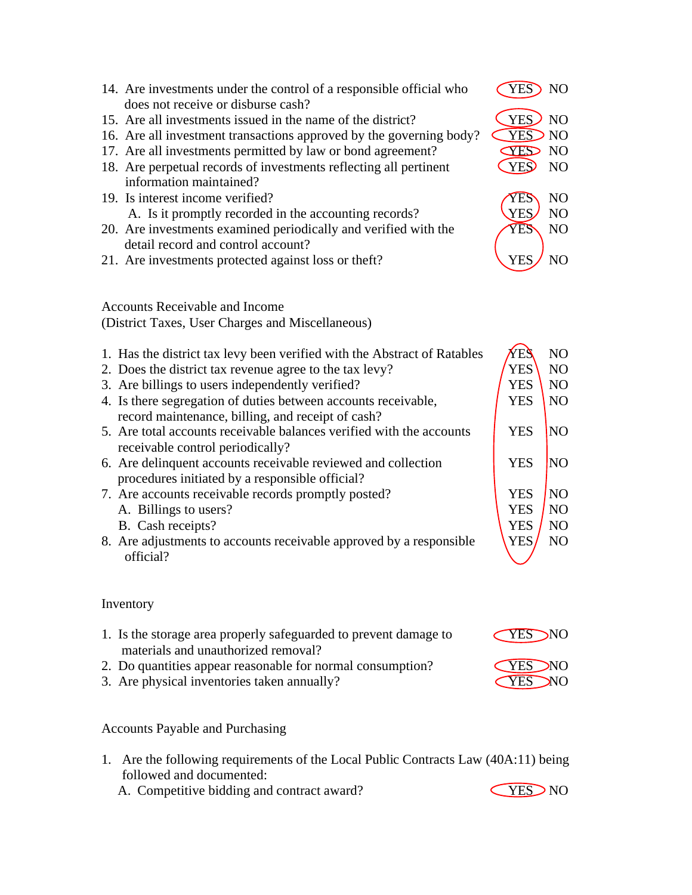| 14. Are investments under the control of a responsible official who<br>does not receive or disburse cash?           | YES NO     |                 |
|---------------------------------------------------------------------------------------------------------------------|------------|-----------------|
| 15. Are all investments issued in the name of the district?                                                         | YES) NO    |                 |
| 16. Are all investment transactions approved by the governing body?                                                 | <b>YES</b> | N <sub>O</sub>  |
| 17. Are all investments permitted by law or bond agreement?                                                         | <b>CES</b> | N <sub>O</sub>  |
| 18. Are perpetual records of investments reflecting all pertinent<br>information maintained?                        | <b>YES</b> | N <sub>O</sub>  |
| 19. Is interest income verified?                                                                                    | YES        | N <sub>O</sub>  |
| A. Is it promptly recorded in the accounting records?                                                               | <b>YES</b> | N <sub>O</sub>  |
| 20. Are investments examined periodically and verified with the<br>detail record and control account?               | YES        | N <sub>O</sub>  |
| 21. Are investments protected against loss or theft?                                                                | <b>YES</b> | N <sub>O</sub>  |
| <b>Accounts Receivable and Income</b>                                                                               |            |                 |
| (District Taxes, User Charges and Miscellaneous)                                                                    |            |                 |
| 1. Has the district tax levy been verified with the Abstract of Ratables                                            | YES        | N <sub>O</sub>  |
| 2. Does the district tax revenue agree to the tax levy?                                                             | <b>YES</b> | N <sub>O</sub>  |
| 3. Are billings to users independently verified?                                                                    | <b>YES</b> | N <sub>O</sub>  |
| 4. Is there segregation of duties between accounts receivable,<br>record maintenance, billing, and receipt of cash? | <b>YES</b> | N <sub>O</sub>  |
| 5. Are total accounts receivable balances verified with the accounts<br>receivable control periodically?            | <b>YES</b> | NO <sub>1</sub> |
| 6. Are delinquent accounts receivable reviewed and collection<br>procedures initiated by a responsible official?    | <b>YES</b> | N <sub>O</sub>  |
| 7. Are accounts receivable records promptly posted?                                                                 | <b>YES</b> | NO <sub>1</sub> |
| A. Billings to users?                                                                                               | <b>YES</b> | N <sub>O</sub>  |
| B. Cash receipts?                                                                                                   | <b>YES</b> | N <sub>O</sub>  |
| 8. Are adjustments to accounts receivable approved by a responsible                                                 | <b>YES</b> | N <sub>O</sub>  |
| official?                                                                                                           |            |                 |

# Inventory

| 1. Is the storage area properly safeguarded to prevent damage to | <b>CYES NO</b> |
|------------------------------------------------------------------|----------------|
| materials and unauthorized removal?                              |                |
| 2. Do quantities appear reasonable for normal consumption?       | <b>CYES NO</b> |
| 3. Are physical inventories taken annually?                      | <b>CYES NO</b> |

# Accounts Payable and Purchasing

- 1. Are the following requirements of the Local Public Contracts Law (40A:11) being followed and documented:
	- A. Competitive bidding and contract award? VES NO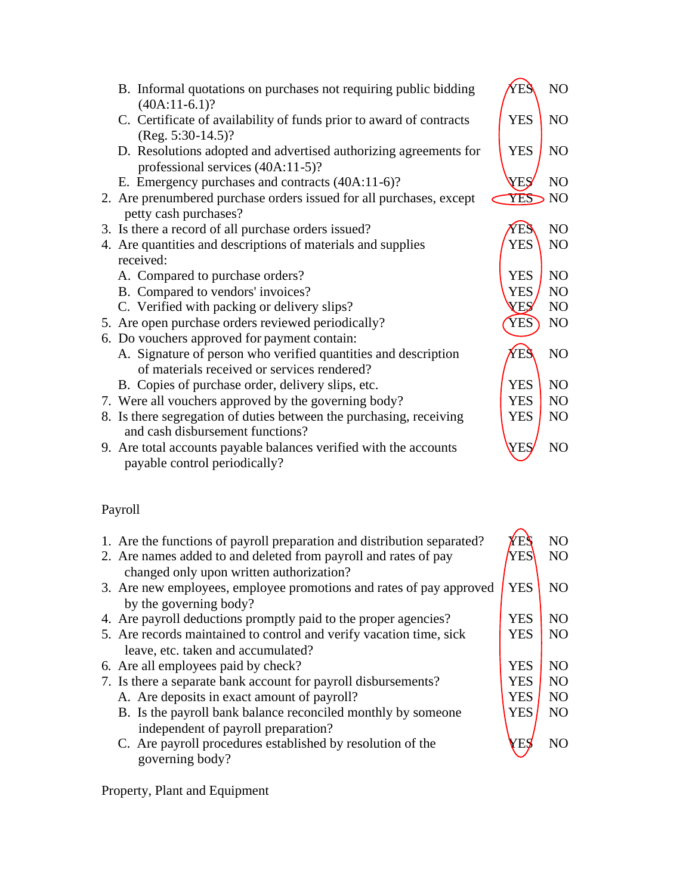|                                                                                     | YES        | NO             |
|-------------------------------------------------------------------------------------|------------|----------------|
| B. Informal quotations on purchases not requiring public bidding<br>$(40A:11-6.1)?$ |            |                |
| C. Certificate of availability of funds prior to award of contracts                 | <b>YES</b> | N <sub>O</sub> |
| $(Reg. 5:30-14.5)?$                                                                 |            |                |
| D. Resolutions adopted and advertised authorizing agreements for                    | <b>YES</b> | N <sub>O</sub> |
| professional services (40A:11-5)?                                                   |            |                |
| E. Emergency purchases and contracts (40A:11-6)?                                    | YES        | NO             |
| 2. Are prenumbered purchase orders issued for all purchases, except                 | YES        | N <sub>O</sub> |
| petty cash purchases?                                                               |            |                |
| 3. Is there a record of all purchase orders issued?                                 | YE.        | NO             |
| 4. Are quantities and descriptions of materials and supplies                        | <b>YES</b> | N <sub>O</sub> |
| received:                                                                           |            |                |
| A. Compared to purchase orders?                                                     | <b>YES</b> | NO             |
| B. Compared to vendors' invoices?                                                   | <b>YES</b> | N <sub>O</sub> |
| C. Verified with packing or delivery slips?                                         | <b>XES</b> | N <sub>O</sub> |
| 5. Are open purchase orders reviewed periodically?                                  | YES        | N <sub>O</sub> |
| 6. Do vouchers approved for payment contain:                                        |            |                |
| A. Signature of person who verified quantities and description                      | YES        | NO             |
| of materials received or services rendered?                                         |            |                |
| B. Copies of purchase order, delivery slips, etc.                                   | <b>YES</b> | N <sub>O</sub> |
| 7. Were all vouchers approved by the governing body?                                | <b>YES</b> | N <sub>O</sub> |
| 8. Is there segregation of duties between the purchasing, receiving                 | <b>YES</b> | N <sub>O</sub> |
| and cash disbursement functions?                                                    |            |                |
| 9. Are total accounts payable balances verified with the accounts                   | YES        | NO             |
| payable control periodically?                                                       |            |                |

# Payroll

| 1. Are the functions of payroll preparation and distribution separated?<br>2. Are names added to and deleted from payroll and rates of pay<br>changed only upon written authorization? | Æ<br>YES   | N <sub>O</sub><br>N <sub>O</sub> |
|----------------------------------------------------------------------------------------------------------------------------------------------------------------------------------------|------------|----------------------------------|
| 3. Are new employees, employee promotions and rates of pay approved<br>by the governing body?                                                                                          | <b>YES</b> | N <sub>O</sub>                   |
| 4. Are payroll deductions promptly paid to the proper agencies?                                                                                                                        | <b>YES</b> | N <sub>O</sub>                   |
| 5. Are records maintained to control and verify vacation time, sick                                                                                                                    | <b>YES</b> | N <sub>O</sub>                   |
| leave, etc. taken and accumulated?                                                                                                                                                     |            |                                  |
| 6. Are all employees paid by check?                                                                                                                                                    | <b>YES</b> | N <sub>O</sub>                   |
| 7. Is there a separate bank account for payroll disbursements?                                                                                                                         | <b>YES</b> | N <sub>O</sub>                   |
| A. Are deposits in exact amount of payroll?                                                                                                                                            | <b>YES</b> | N <sub>O</sub>                   |
| B. Is the payroll bank balance reconciled monthly by someone                                                                                                                           | <b>YES</b> | N <sub>O</sub>                   |
| independent of payroll preparation?<br>C. Are payroll procedures established by resolution of the<br>governing body?                                                                   |            | NO                               |

Property, Plant and Equipment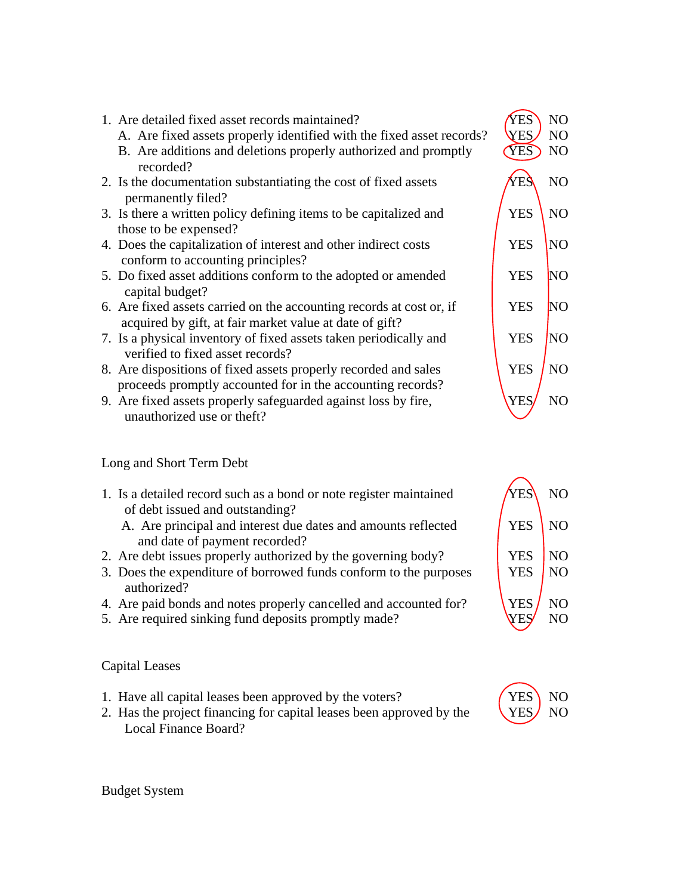

- 8. Are dispositions of fixed assets properly recorded and sales YES NO proceeds promptly accounted for in the accounting records?
- 9. Are fixed assets properly safeguarded against loss by fire, VES NO unauthorized use or theft?

### Long and Short Term Debt

- 1. Is a detailed record such as a bond or note register maintained  $YES\ NO$  of debt issued and outstanding?
	- A. Are principal and interest due dates and amounts reflected  $\sqrt{\text{YES}}$  NO and date of payment recorded?
- 2. Are debt issues properly authorized by the governing body? YES NO
- 3. Does the expenditure of borrowed funds conform to the purposes <br>NO authorized?
- 4. Are paid bonds and notes properly cancelled and accounted for?  $YES / NO$
- 5. Are required sinking fund deposits promptly made? WES NO

### Capital Leases

- 1. Have all capital leases been approved by the voters? (YES NO
- 2. Has the project financing for capital leases been approved by the  $YES/NO$ Local Finance Board?





Budget System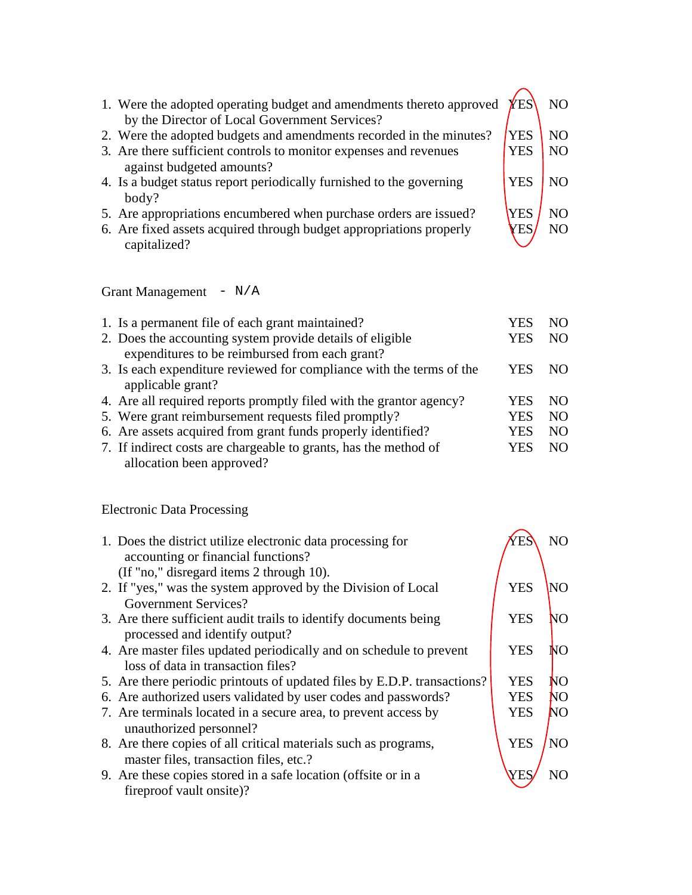| 1. Were the adopted operating budget and amendments thereto approved<br>by the Director of Local Government Services? | <b>YES</b> | NO.            |
|-----------------------------------------------------------------------------------------------------------------------|------------|----------------|
| 2. Were the adopted budgets and amendments recorded in the minutes?                                                   | YES        | NO.            |
| 3. Are there sufficient controls to monitor expenses and revenues                                                     | <b>YES</b> | NO.            |
| against budgeted amounts?                                                                                             |            |                |
| 4. Is a budget status report periodically furnished to the governing                                                  | YES        | N <sub>O</sub> |
| body?                                                                                                                 |            |                |
| 5. Are appropriations encumbered when purchase orders are issued?                                                     | YES        | NO.            |
| 6. Are fixed assets acquired through budget appropriations properly                                                   | ΈS         | N <sub>O</sub> |
| capitalized?                                                                                                          |            |                |

Grant Management - N/A

| 1. Is a permanent file of each grant maintained?                     | YE. | NO. |
|----------------------------------------------------------------------|-----|-----|
|                                                                      |     |     |
| 2. Does the accounting system provide details of eligible            | YES | NO. |
| expenditures to be reimbursed from each grant?                       |     |     |
| 3. Is each expenditure reviewed for compliance with the terms of the | YES | NO. |
| applicable grant?                                                    |     |     |
| 4. Are all required reports promptly filed with the grantor agency?  | YES | NO. |
| 5. Were grant reimbursement requests filed promptly?                 | YES | NO. |
| 6. Are assets acquired from grant funds properly identified?         | YES | NO. |
| 7. If indirect costs are chargeable to grants, has the method of     | YES | NO. |
| allocation been approved?                                            |     |     |

Electronic Data Processing

| 1. Does the district utilize electronic data processing for<br>accounting or financial functions?<br>(If "no," disregard items 2 through 10). |            | N <sub>O</sub> |
|-----------------------------------------------------------------------------------------------------------------------------------------------|------------|----------------|
| 2. If "yes," was the system approved by the Division of Local                                                                                 | <b>YES</b> | NΟ             |
| <b>Government Services?</b><br>3. Are there sufficient audit trails to identify documents being<br>processed and identify output?             | <b>YES</b> | NО             |
| 4. Are master files updated periodically and on schedule to prevent<br>loss of data in transaction files?                                     | <b>YES</b> | NО             |
| 5. Are there periodic printouts of updated files by E.D.P. transactions?                                                                      | <b>YES</b> | NО             |
| 6. Are authorized users validated by user codes and passwords?                                                                                | <b>YES</b> | NО             |
| 7. Are terminals located in a secure area, to prevent access by<br>unauthorized personnel?                                                    | <b>YES</b> | NΟ             |
| 8. Are there copies of all critical materials such as programs,<br>master files, transaction files, etc.?                                     | <b>YES</b> | N <sub>O</sub> |
| 9. Are these copies stored in a safe location (offsite or in a<br>fireproof vault onsite)?                                                    |            |                |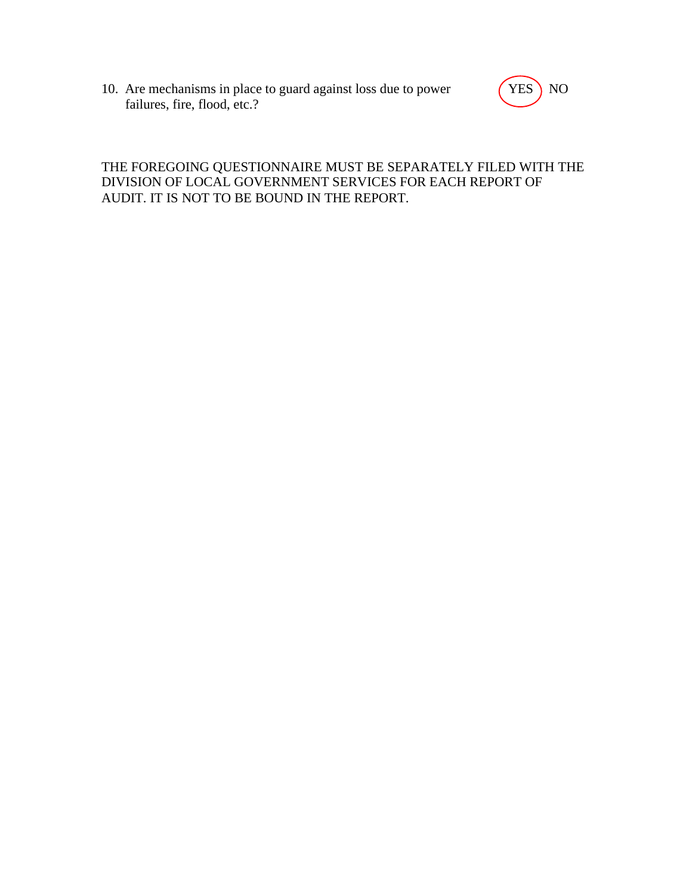10. Are mechanisms in place to guard against loss due to power (YES) NO failures, fire, flood, etc.?



# THE FOREGOING QUESTIONNAIRE MUST BE SEPARATELY FILED WITH THE DIVISION OF LOCAL GOVERNMENT SERVICES FOR EACH REPORT OF AUDIT. IT IS NOT TO BE BOUND IN THE REPORT.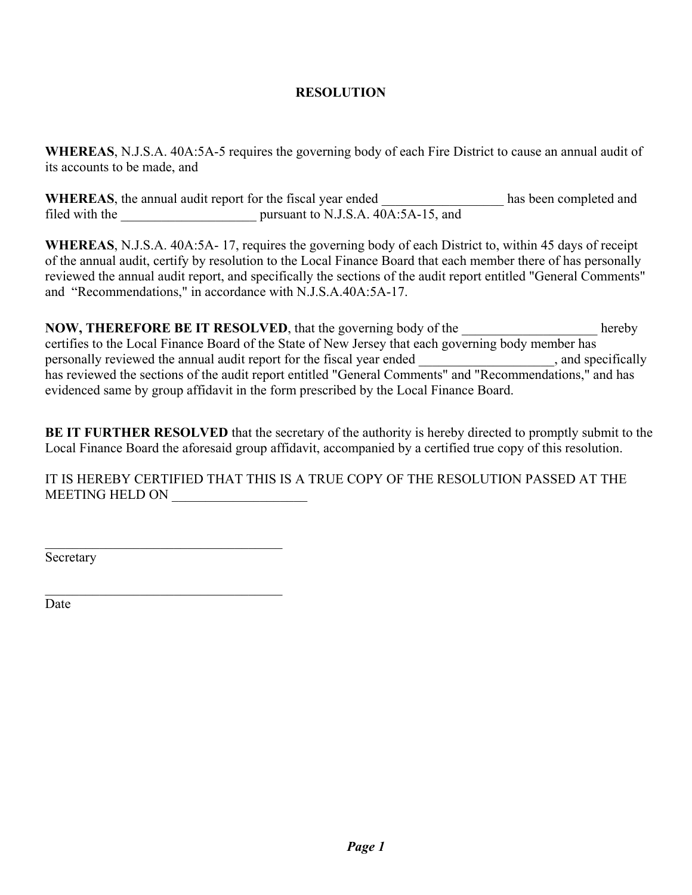## **RESOLUTION**

**WHEREAS**, N.J.S.A. 40A:5A-5 requires the governing body of each Fire District to cause an annual audit of its accounts to be made, and

WHEREAS, the annual audit report for the fiscal year ended \_\_\_\_\_\_\_\_\_\_\_\_\_\_\_\_\_\_\_\_ has been completed and filed with the pursuant to N.J.S.A. 40A:5A-15, and

**WHEREAS**, N.J.S.A. 40A:5A- 17, requires the governing body of each District to, within 45 days of receipt of the annual audit, certify by resolution to the Local Finance Board that each member there of has personally reviewed the annual audit report, and specifically the sections of the audit report entitled "General Comments" and "Recommendations," in accordance with N.J.S.A.40A:5A-17.

**NOW, THEREFORE BE IT RESOLVED**, that the governing body of the **help** hereby certifies to the Local Finance Board of the State of New Jersey that each governing body member has personally reviewed the annual audit report for the fiscal year ended \_\_\_\_\_\_\_\_\_\_\_\_\_\_\_\_, and specifically has reviewed the sections of the audit report entitled "General Comments" and "Recommendations," and has evidenced same by group affidavit in the form prescribed by the Local Finance Board.

**BE IT FURTHER RESOLVED** that the secretary of the authority is hereby directed to promptly submit to the Local Finance Board the aforesaid group affidavit, accompanied by a certified true copy of this resolution.

IT IS HEREBY CERTIFIED THAT THIS IS A TRUE COPY OF THE RESOLUTION PASSED AT THE MEETING HELD ON

Secretary

 $\mathcal{L}_\text{max}$  , and the set of the set of the set of the set of the set of the set of the set of the set of the set of the set of the set of the set of the set of the set of the set of the set of the set of the set of the

 $\mathcal{L}_\text{max}$  , and the set of the set of the set of the set of the set of the set of the set of the set of the set of the set of the set of the set of the set of the set of the set of the set of the set of the set of the

Date